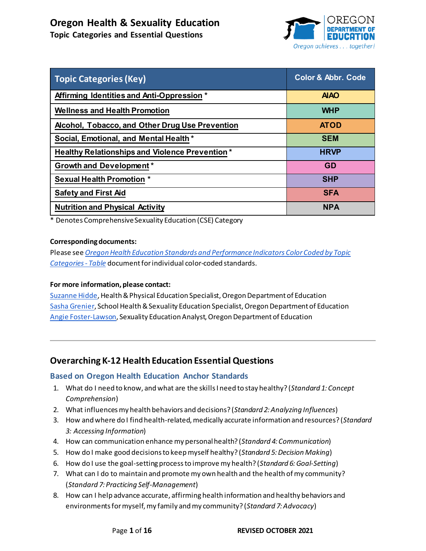**Topic Categories and Essential Questions**



<span id="page-0-0"></span>

| <b>Topic Categories (Key)</b>                         | <b>Color &amp; Abbr. Code</b> |
|-------------------------------------------------------|-------------------------------|
| Affirming Identities and Anti-Oppression *            | <b>AIAO</b>                   |
| <b>Wellness and Health Promotion</b>                  | <b>WHP</b>                    |
| Alcohol, Tobacco, and Other Drug Use Prevention       | <b>ATOD</b>                   |
| Social, Emotional, and Mental Health*                 | <b>SEM</b>                    |
| <b>Healthy Relationships and Violence Prevention*</b> | <b>HRVP</b>                   |
| <b>Growth and Development*</b>                        | <b>GD</b>                     |
| <b>Sexual Health Promotion *</b>                      | <b>SHP</b>                    |
| <b>Safety and First Aid</b>                           | <b>SFA</b>                    |
| <b>Nutrition and Physical Activity</b>                | <b>NPA</b>                    |

\* Denotes Comprehensive Sexuality Education (CSE) Category

#### **Corresponding documents:**

Please see *[Oregon Health Education Standards and Performance Indicators Color Coded by Topic](https://www.oregon.gov/ode/educator-resources/standards/Documents/OR-Health-Standards_Color-Coded-Topics_Table.pdf)  [Categories - Table](https://www.oregon.gov/ode/educator-resources/standards/Documents/OR-Health-Standards_Color-Coded-Topics_Table.pdf)* document for individual color-coded standards.

#### **For more information, please contact:**

[Suzanne Hidde,](mailto:suzanne.hidde@state.or.us) Health & Physical Education Specialist, Oregon Department of Education [Sasha Grenier,](mailto:sasha.grenier@state.or.us) School Health & Sexuality Education Specialist, Oregon Department of Education [Angie Foster-Lawson](mailto:angie.foster-lawson@state.or.us), Sexuality Education Analyst, Oregon Department of Education

# **Overarching K-12 Health Education Essential Questions**

# **Based on Oregon Health Education Anchor Standards**

- 1. What do I need to know, and what are the skills I need to stay healthy? (*Standard 1: Concept Comprehension*)
- 2. What influences my health behaviors and decisions? (*Standard 2: Analyzing Influences*)
- 3. How and where do I find health-related, medically accurate information and resources? (*Standard 3: Accessing Information*)
- 4. How can communication enhance my personal health? (*Standard 4: Communication*)
- 5. How do I make good decisions to keep myself healthy? (*Standard 5: Decision Making*)
- 6. How do I use the goal-setting process to improve my health? (*Standard 6: Goal-Setting*)
- 7. What can I do to maintain and promote my own health and the health of my community? (*Standard 7: Practicing Self-Management*)
- 8. How can I help advance accurate, affirming health information and healthy behaviors and environments for myself, my family and my community? (*Standard 7: Advocacy*)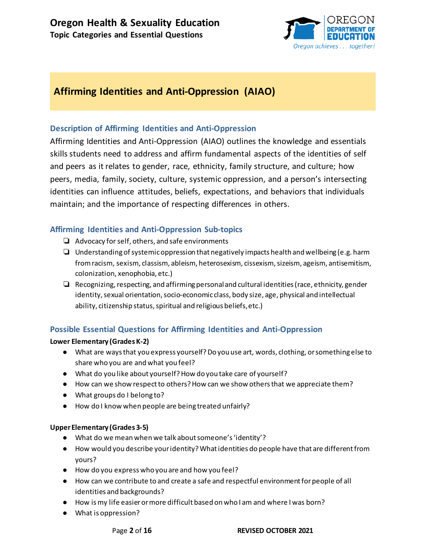

# <span id="page-1-0"></span>**Affirming Identities and Anti-Oppression (AIAO)**

# **Description of Affirming Identities and Anti-Oppression**

Affirming Identities and Anti-Oppression (AIAO) outlines the knowledge and essentials skills students need to address and affirm fundamental aspects of the identities of self and peers as it relates to gender, race, ethnicity, family structure, and culture; how peers, media, family, society, culture, systemic oppression, and a person's intersecting identities can influence attitudes, beliefs, expectations, and behaviors that individuals maintain; and the importance of respecting differences in others.

# **Affirming Identities and Anti-Oppression Sub-topics**

- ❏ Advocacy for self, others, and safe environments
- ❏ Understanding of systemic oppression that negatively impacts health and wellbeing (e.g. harm from racism, sexism, classism, ableism, heterosexism, cissexism, sizeism, ageism, antisemitism, colonization, xenophobia, etc.)
- ❏ Recognizing, respecting, and affirming personal and cultural identities (race, ethnicity, gender identity, sexual orientation, socio-economic class, body size, age, physical and intellectual ability, citizenship status, spiritual and religious beliefs, etc.)

# **Possible Essential Questions for Affirming Identities and Anti-Oppression**

# **Lower Elementary (Grades K-2)**

- What are ways that you express yourself? Do you use art, words, clothing, or something else to share who you are and what you feel?
- What do you like about yourself? How do you take care of yourself?
- How can we show respect to others? How can we show others that we appreciate them?
- What groups do I belong to?
- How do I know when people are being treated unfairly?

# **Upper Elementary (Grades 3-5)**

- What do we mean when we talk about someone's 'identity'?
- How would you describe your identity? What identities do people have that are different from yours?
- How do you express who you are and how you feel?
- How can we contribute to and create a safe and respectful environment for people of all identities and backgrounds?
- How is my life easier or more difficult based on who I am and where I was born?
- What is oppression?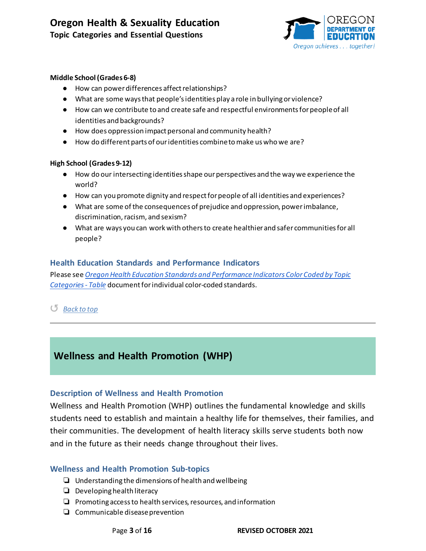

#### **Middle School (Grades 6-8)**

- How can power differences affect relationships?
- What are some ways that people's identities play a role in bullying or violence?
- How can we contribute to and create safe and respectful environments for people of all identities and backgrounds?
- How does oppression impact personal and community health?
- How do different parts of our identities combine to make us who we are?

#### **High School (Grades 9-12)**

- How do our intersecting identities shape our perspectives and the way we experience the world?
- How can you promote dignity and respect for people of all identities and experiences?
- What are some of the consequences of prejudice and oppression, power imbalance, discrimination, racism, and sexism?
- What are ways you can work with others to create healthier and safer communities for all people?

# **Health Education Standards and Performance Indicators**

Please see *[Oregon Health Education Standards and Performance Indicators Color Coded by Topic](https://www.oregon.gov/ode/educator-resources/standards/Documents/OR-Health-Standards_Color-Coded-Topics_Table.pdf)  [Categories - Table](https://www.oregon.gov/ode/educator-resources/standards/Documents/OR-Health-Standards_Color-Coded-Topics_Table.pdf)* document for individual color-coded standards.

# ↺ *[Back to top](#page-0-0)*

# <span id="page-2-0"></span>**Wellness and Health Promotion (WHP)**

# **Description of Wellness and Health Promotion**

Wellness and Health Promotion (WHP) outlines the fundamental knowledge and skills students need to establish and maintain a healthy life for themselves, their families, and their communities. The development of health literacy skills serve students both now and in the future as their needs change throughout their lives.

# **Wellness and Health Promotion Sub-topics**

- ❏ Understanding the dimensions of health and wellbeing
- ❏ Developing health literacy
- ❏ Promoting access to health services, resources, and information
- ❏ Communicable disease prevention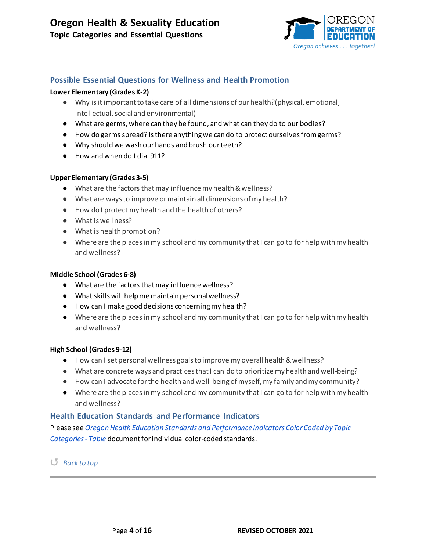

# **Possible Essential Questions for Wellness and Health Promotion**

#### **Lower Elementary (Grades K-2)**

- Why is it important to take care of all dimensions of our health?(physical, emotional, intellectual, social and environmental)
- What are germs, where can they be found, and what can they do to our bodies?
- How do germs spread? Is there anything we can do to protect ourselves from germs?
- Why should we wash our hands and brush our teeth?
- How and when do I dial 911?

#### **Upper Elementary (Grades 3-5)**

- What are the factors that may influence my health & wellness?
- What are ways to improve or maintain all dimensions of my health?
- How do I protect my health and the health of others?
- What is wellness?
- What is health promotion?
- Where are the places in my school and my community that I can go to for help with my health and wellness?

#### **Middle School (Grades 6-8)**

- What are the factors that may influence wellness?
- What skills will help me maintain personal wellness?
- How can I make good decisions concerning my health?
- Where are the places in my school and my community that I can go to for help with my health and wellness?

#### **High School (Grades 9-12)**

- How can I set personal wellness goals to improve my overall health & wellness?
- What are concrete ways and practices that I can do to prioritize my health and well-being?
- How can I advocate for the health and well-being of myself, my family and my community?
- Where are the places in my school and my community that I can go to for help with my health and wellness?

# **Health Education Standards and Performance Indicators**

Please see *[Oregon Health Education Standards and Performance Indicators Color Coded by Topic](https://www.oregon.gov/ode/educator-resources/standards/Documents/OR-Health-Standards_Color-Coded-Topics_Table.pdf)  [Categories - Table](https://www.oregon.gov/ode/educator-resources/standards/Documents/OR-Health-Standards_Color-Coded-Topics_Table.pdf)* document for individual color-coded standards.

↺ *[Back to top](#page-0-0)*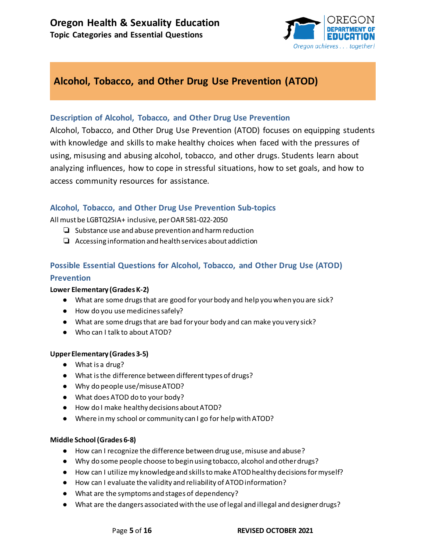

# <span id="page-4-0"></span>**Alcohol, Tobacco, and Other Drug Use Prevention (ATOD)**

# **Description of Alcohol, Tobacco, and Other Drug Use Prevention**

Alcohol, Tobacco, and Other Drug Use Prevention (ATOD) focuses on equipping students with knowledge and skills to make healthy choices when faced with the pressures of using, misusing and abusing alcohol, tobacco, and other drugs. Students learn about analyzing influences, how to cope in stressful situations, how to set goals, and how to access community resources for assistance.

# **Alcohol, Tobacco, and Other Drug Use Prevention Sub-topics**

All must be LGBTQ2SIA+ inclusive, per OAR 581-022-2050

- ❏ Substance use and abuse prevention and harm reduction
- ❏ Accessing information and health services about addiction

# **Possible Essential Questions for Alcohol, Tobacco, and Other Drug Use (ATOD) Prevention**

#### **Lower Elementary (Grades K-2)**

- What are some drugs that are good for your body and help you when you are sick?
- How do you use medicines safely?
- What are some drugs that are bad for your body and can make you very sick?
- Who can I talk to about ATOD?

# **UpperElementary (Grades 3-5)**

- What is a drug?
- What is the difference between different types of drugs?
- Why do people use/misuse ATOD?
- What does ATOD do to your body?
- How do I make healthy decisions about ATOD?
- Where in my school or community can I go for help with ATOD?

#### **Middle School (Grades 6-8)**

- How can I recognize the difference between drug use, misuse and abuse?
- Why do some people choose to begin using tobacco, alcohol and other drugs?
- How can I utilize my knowledge and skills to make ATOD healthy decisions for myself?
- How can I evaluate the validity and reliability of ATODinformation?
- What are the symptoms and stages of dependency?
- What are the dangers associated with the use of legal and illegal and designer drugs?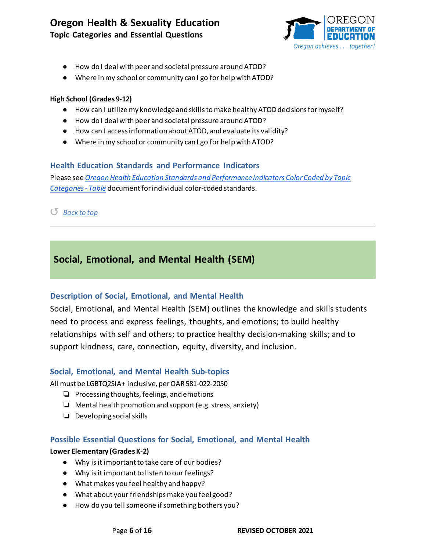

- How do I deal with peer and societal pressure around ATOD?
- Where in my school or community can I go for help with ATOD?

#### **High School (Grades 9-12)**

- How can I utilize my knowledge and skills to make healthy ATOD decisions for myself?
- How do I deal with peer and societal pressure around ATOD?
- How can I access information about ATOD, and evaluate its validity?
- Where in my school or community can I go for help with ATOD?

# **Health Education Standards and Performance Indicators**

Please see *[Oregon Health Education Standards and Performance Indicators Color Coded by Topic](https://www.oregon.gov/ode/educator-resources/standards/Documents/OR-Health-Standards_Color-Coded-Topics_Table.pdf)  [Categories - Table](https://www.oregon.gov/ode/educator-resources/standards/Documents/OR-Health-Standards_Color-Coded-Topics_Table.pdf)* document for individual color-coded standards.

# ↺ *[Back to top](#page-0-0)*

# <span id="page-5-0"></span>**Social, Emotional, and Mental Health (SEM)**

# **Description of Social, Emotional, and Mental Health**

Social, Emotional, and Mental Health (SEM) outlines the knowledge and skills students need to process and express feelings, thoughts, and emotions; to build healthy relationships with self and others; to practice healthy decision-making skills; and to support kindness, care, connection, equity, diversity, and inclusion.

# **Social, Emotional, and Mental Health Sub-topics**

All must be LGBTQ2SIA+ inclusive, per OAR 581-022-2050

- ❏ Processing thoughts, feelings, and emotions
- ❏ Mental health promotion and support (e.g. stress, anxiety)
- ❏ Developing social skills

# **Possible Essential Questions for Social, Emotional, and Mental Health**

#### **Lower Elementary (Grades K-2)**

- Why is it important to take care of our bodies?
- Why is it important to listen to our feelings?
- What makes you feel healthy and happy?
- What about your friendships make you feel good?
- How do you tell someone if something bothers you?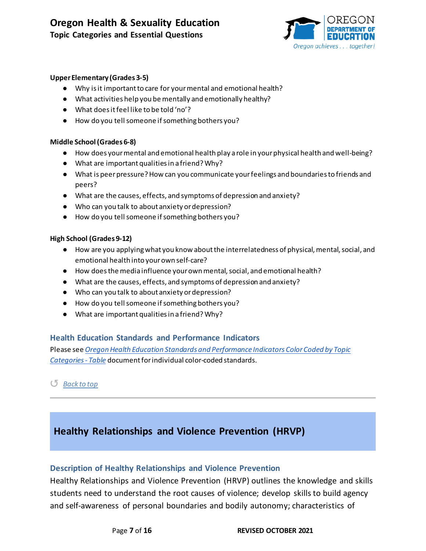

#### **Upper Elementary (Grades 3-5)**

- Why is it important to care for your mental and emotional health?
- What activities help you be mentally and emotionally healthy?
- What does it feel like to be told 'no'?
- How do you tell someone if something bothers you?

#### **Middle School (Grades 6-8)**

- How does your mental and emotional health play a role in your physical health and well-being?
- What are important qualities in a friend? Why?
- What is peer pressure? How can you communicate your feelings and boundaries to friends and peers?
- What are the causes, effects, and symptoms of depression and anxiety?
- Who can you talk to about anxiety or depression?
- How do you tell someone if something bothers you?

#### **High School (Grades 9-12)**

- How are you applying what you know about the interrelatedness of physical, mental, social, and emotional health into your own self-care?
- How does the media influence your own mental, social, and emotional health?
- What are the causes, effects, and symptoms of depression and anxiety?
- Who can you talk to about anxiety or depression?
- How do you tell someone if something bothers you?
- What are important qualities in a friend? Why?

# **Health Education Standards and Performance Indicators**

Please see *[Oregon Health Education Standards and Performance Indicators Color Coded by Topic](https://www.oregon.gov/ode/educator-resources/standards/Documents/OR-Health-Standards_Color-Coded-Topics_Table.pdf)  [Categories - Table](https://www.oregon.gov/ode/educator-resources/standards/Documents/OR-Health-Standards_Color-Coded-Topics_Table.pdf)* document for individual color-coded standards.

#### ↺ *[Back to top](#page-0-0)*

# <span id="page-6-0"></span>**Healthy Relationships and Violence Prevention (HRVP)**

# **Description of Healthy Relationships and Violence Prevention**

Healthy Relationships and Violence Prevention (HRVP) outlines the knowledge and skills students need to understand the root causes of violence; develop skills to build agency and self-awareness of personal boundaries and bodily autonomy; characteristics of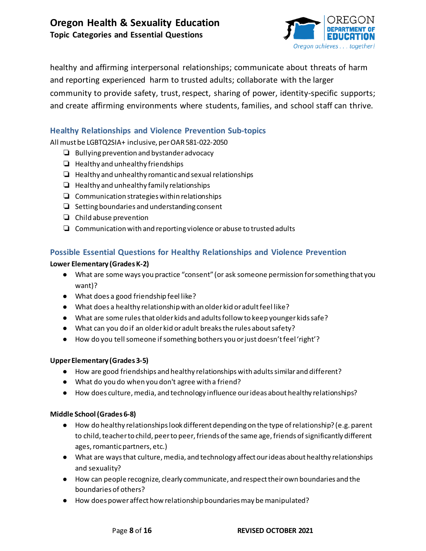

healthy and affirming interpersonal relationships; communicate about threats of harm and reporting experienced harm to trusted adults; collaborate with the larger community to provide safety, trust, respect, sharing of power, identity-specific supports; and create affirming environments where students, families, and school staff can thrive.

# **Healthy Relationships and Violence Prevention Sub-topics**

All must be LGBTQ2SIA+ inclusive, per OAR 581-022-2050

- ❏ Bullying prevention and bystander advocacy
- ❏ Healthy and unhealthy friendships
- ❏ Healthy and unhealthy romantic and sexual relationships
- ❏ Healthy and unhealthy family relationships
- ❏ Communication strategies within relationships
- ❏ Setting boundaries and understanding consent
- ❏ Child abuse prevention
- ❏ Communication with and reporting violence or abuse to trusted adults

# **Possible Essential Questions for Healthy Relationships and Violence Prevention**

# **Lower Elementary (Grades K-2)**

- What are some ways you practice "consent" (or ask someone permission for something that you want)?
- What does a good friendship feel like?
- What does a healthy relationship with an older kid or adult feel like?
- What are some rules that older kids and adults follow to keep younger kids safe?
- What can you do if an older kid or adult breaks the rules about safety?
- How do you tell someone if something bothers you or just doesn't feel 'right'?

# **Upper Elementary (Grades 3-5)**

- How are good friendships and healthy relationships with adults similar and different?
- What do you do when you don't agree with a friend?
- How does culture, media, and technology influence our ideas about healthy relationships?

# **Middle School (Grades 6-8)**

- How do healthy relationships look different depending on the type of relationship? (e.g. parent to child, teacher to child, peer to peer, friends of the same age, friends of significantly different ages, romantic partners, etc.)
- What are ways that culture, media, and technology affect our ideas about healthy relationships and sexuality?
- How can people recognize, clearly communicate, and respect their own boundaries and the boundaries of others?
- How does power affect how relationship boundaries may be manipulated?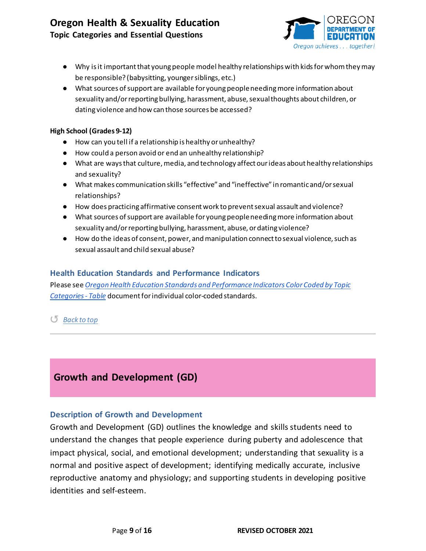# **Oregon Health & Sexuality Education Topic Categories and Essential Questions**



- Why is it important that young people model healthy relationships with kids for whom they may be responsible? (babysitting, younger siblings, etc.)
- What sources of support are available for young people needing more information about sexuality and/or reporting bullying, harassment, abuse, sexual thoughts about children, or dating violence and how can those sources be accessed?

#### **High School (Grades 9-12)**

- How can you tell if a relationship is healthy or unhealthy?
- How could a person avoid or end an unhealthy relationship?
- What are ways that culture, media, and technology affect our ideas about healthy relationships and sexuality?
- What makes communication skills "effective" and "ineffective" in romantic and/or sexual relationships?
- How does practicing affirmative consent work to prevent sexual assault and violence?
- What sources of support are available for young people needing more information about sexuality and/or reporting bullying, harassment, abuse, or dating violence?
- How do the ideas of consent, power, and manipulation connect to sexual violence, such as sexual assault and child sexual abuse?

# **Health Education Standards and Performance Indicators**

Please see *[Oregon Health Education Standards and Performance Indicators Color Coded by Topic](https://www.oregon.gov/ode/educator-resources/standards/Documents/OR-Health-Standards_Color-Coded-Topics_Table.pdf)  [Categories - Table](https://www.oregon.gov/ode/educator-resources/standards/Documents/OR-Health-Standards_Color-Coded-Topics_Table.pdf)* document for individual color-coded standards.

# ↺ *[Back to top](#page-0-0)*

# <span id="page-8-0"></span>**Growth and Development (GD)**

# **Description of Growth and Development**

Growth and Development (GD) outlines the knowledge and skills students need to understand the changes that people experience during puberty and adolescence that impact physical, social, and emotional development; understanding that sexuality is a normal and positive aspect of development; identifying medically accurate, inclusive reproductive anatomy and physiology; and supporting students in developing positive identities and self-esteem.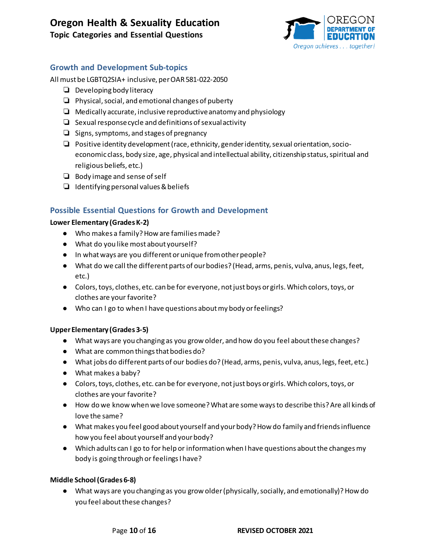**Topic Categories and Essential Questions**



# **Growth and Development Sub-topics**

All must be LGBTQ2SIA+ inclusive, per OAR 581-022-2050

- ❏ Developing body literacy
- ❏ Physical, social, and emotional changes of puberty
- $\Box$  Medically accurate, inclusive reproductive anatomy and physiology
- ❏ Sexual response cycle and definitions of sexual activity
- ❏ Signs, symptoms, and stages of pregnancy
- ❏ Positive identity development (race, ethnicity, gender identity, sexual orientation, socioeconomic class, body size, age, physical and intellectual ability, citizenship status, spiritual and religious beliefs, etc.)
- ❏ Body image and sense ofself
- ❏ Identifying personal values & beliefs

# **Possible Essential Questions for Growth and Development**

#### **Lower Elementary (Grades K-2)**

- Who makes a family? How are families made?
- What do you like most about yourself?
- In what ways are you different or unique from other people?
- What do we call the different parts of our bodies? (Head, arms, penis, vulva, anus, legs, feet, etc.)
- Colors, toys, clothes, etc. can be for everyone, not just boys or girls. Which colors, toys, or clothes are your favorite?
- Who can I go to when I have questions about my body or feelings?

# **Upper Elementary (Grades 3-5)**

- What ways are you changing as you grow older, and how do you feel about these changes?
- What are common things that bodies do?
- What jobs do different parts of our bodies do? (Head, arms, penis, vulva, anus, legs, feet, etc.)
- What makes a baby?
- Colors, toys, clothes, etc. can be for everyone, not just boys or girls. Which colors, toys, or clothes are your favorite?
- How do we know when we love someone? What are some ways to describe this? Are all kinds of love the same?
- What makes you feel good about yourself and your body? How do family and friends influence how you feel about yourself and your body?
- Which adults can I go to for help or information when I have questions about the changes my body is going through or feelings I have?

# **Middle School (Grades 6-8)**

● What ways are you changing as you grow older (physically, socially, and emotionally)? How do you feel about these changes?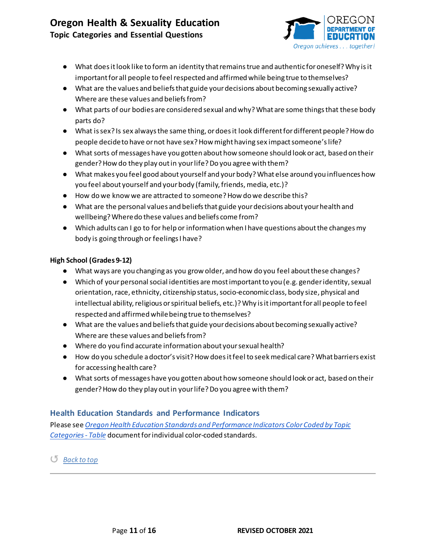

**Topic Categories and Essential Questions**

- What does it look like to form an identity that remains true and authentic for oneself? Why is it important for all people to feel respected and affirmed while being true to themselves?
- What are the values and beliefs that guide your decisions about becoming sexually active? Where are these values and beliefs from?
- What parts of our bodies are considered sexual and why? What are some things that these body parts do?
- What is sex? Is sex always the same thing, or does it look different fordifferent people? How do people decide to have or not have sex? How might having sex impact someone'slife?
- What sorts of messages have you gotten about how someone should look or act, based on their gender? How do they play out in your life? Do you agree with them?
- What makes you feel good about yourself and your body? What else around you influences how you feel about yourself and your body (family, friends, media, etc.)?
- How do we know we are attracted to someone? How do we describe this?
- What are the personal values and beliefs that guide your decisions about your health and wellbeing? Where do these values and beliefs come from?
- Which adults can I go to for help or information when I have questions about the changes my body is going through or feelings I have?

# **High School (Grades 9-12)**

- What ways are you changing as you grow older, and how do you feel about these changes?
- Which of your personal social identities are most important to you (e.g. gender identity, sexual orientation, race, ethnicity, citizenship status, socio-economic class, body size, physical and intellectual ability, religious or spiritual beliefs, etc.)? Why is it important for all people to feel respected and affirmed while being true to themselves?
- What are the values and beliefs that guide your decisions about becoming sexually active? Where are these values and beliefs from?
- Where do you find accurate information about your sexual health?
- How do you schedule a doctor's visit? How does it feel to seek medical care? What barriers exist for accessing health care?
- What sorts of messages have you gotten about how someone should look or act, based on their gender? How do they play out in your life? Do you agree with them?

# **Health Education Standards and Performance Indicators**

Please see *[Oregon Health Education Standards and Performance Indicators Color Coded by Topic](https://www.oregon.gov/ode/educator-resources/standards/Documents/OR-Health-Standards_Color-Coded-Topics_Table.pdf)  [Categories - Table](https://www.oregon.gov/ode/educator-resources/standards/Documents/OR-Health-Standards_Color-Coded-Topics_Table.pdf)* document for individual color-coded standards.

↺ *[Back to top](#page-0-0)*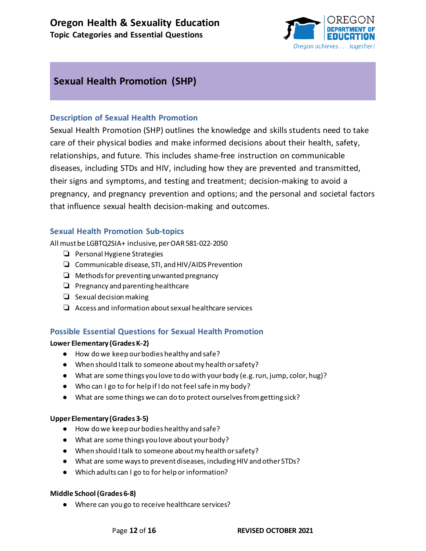

# <span id="page-11-0"></span>**Sexual Health Promotion (SHP)**

# **Description of Sexual Health Promotion**

Sexual Health Promotion (SHP) outlines the knowledge and skills students need to take care of their physical bodies and make informed decisions about their health, safety, relationships, and future. This includes shame-free instruction on communicable diseases, including STDs and HIV, including how they are prevented and transmitted, their signs and symptoms, and testing and treatment; decision-making to avoid a pregnancy, and pregnancy prevention and options; and the personal and societal factors that influence sexual health decision-making and outcomes.

# **Sexual Health Promotion Sub-topics**

All must be LGBTQ2SIA+ inclusive, per OAR 581-022-2050

- ❏ Personal Hygiene Strategies
- ❏ Communicable disease, STI, and HIV/AIDS Prevention
- ❏ Methods for preventing unwanted pregnancy
- ❏ Pregnancy and parenting healthcare
- ❏ Sexual decision making
- ❏ Access and information about sexual healthcare services

# **Possible Essential Questions for Sexual Health Promotion**

# **Lower Elementary (Grades K-2)**

- How do we keep our bodies healthy and safe?
- When should I talk to someone about my health or safety?
- $\bullet$  What are some things you love to do with your body (e.g. run, jump, color, hug)?
- Who can I go to for help if I do not feel safe in my body?
- What are some things we can do to protect ourselves from getting sick?

# **Upper Elementary (Grades 3-5)**

- How do we keep our bodies healthy and safe?
- What are some things you love about your body?
- When should I talk to someone about my health or safety?
- What are some ways to prevent diseases, including HIV and other STDs?
- Which adults can I go to for help or information?

# **Middle School (Grades 6-8)**

● Where can you go to receive healthcare services?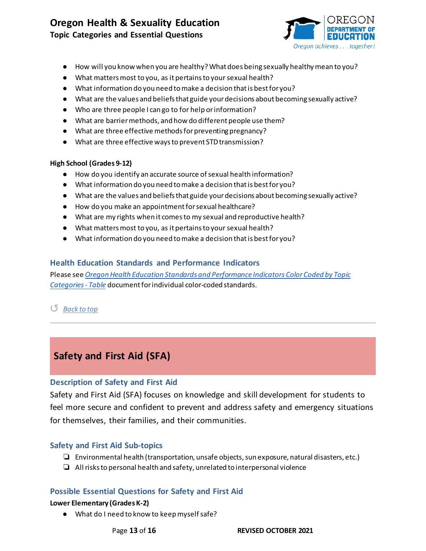**Topic Categories and Essential Questions**



- How will you know when you are healthy? What does being sexually healthy mean to you?
- What matters most to you, as it pertains to your sexual health?
- What information do you need to make a decision that is best for you?
- What are the values and beliefs that guide your decisions about becoming sexually active?
- Who are three people I can go to for help or information?
- What are barrier methods, and how do different people use them?
- What are three effective methods for preventing pregnancy?
- What are three effective ways to prevent STD transmission?

#### **High School (Grades 9-12)**

- How do you identify an accurate source of sexual health information?
- What information do you need to make a decision that is best for you?
- What are the values and beliefs that guide your decisions about becoming sexually active?
- How do you make an appointment for sexual healthcare?
- What are my rights when it comes to my sexual and reproductive health?
- What matters most to you, as it pertains to your sexual health?
- What information do you need to make a decision that is best for you?

# **Health Education Standards and Performance Indicators**

Please see *[Oregon Health Education Standards and Performance Indicators Color Coded by Topic](https://www.oregon.gov/ode/educator-resources/standards/Documents/OR-Health-Standards_Color-Coded-Topics_Table.pdf)  [Categories - Table](https://www.oregon.gov/ode/educator-resources/standards/Documents/OR-Health-Standards_Color-Coded-Topics_Table.pdf)* document for individual color-coded standards.

# ↺ *[Back to top](#page-0-0)*

# <span id="page-12-0"></span>**Safety and First Aid (SFA)**

# **Description of Safety and First Aid**

Safety and First Aid (SFA) focuses on knowledge and skill development for students to feel more secure and confident to prevent and address safety and emergency situations for themselves, their families, and their communities.

# **Safety and First Aid Sub-topics**

- ❏ Environmental health (transportation, unsafe objects, sun exposure, natural disasters, etc.)
- ❏ All risks to personal health and safety, unrelated to interpersonal violence

# **Possible Essential Questions for Safety and First Aid**

# **Lower Elementary (Grades K-2)**

● What do I need to know to keep myself safe?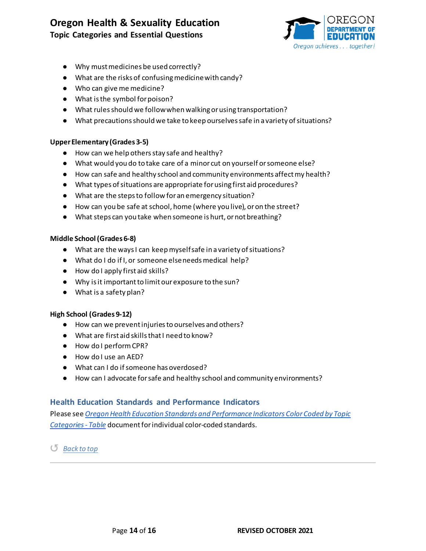**Topic Categories and Essential Questions**



- Why must medicines be used correctly?
- What are the risks of confusing medicine with candy?
- Who can give me medicine?
- What is the symbol for poison?
- What rules should we follow when walking or using transportation?
- What precautions should we take to keep ourselves safe in a variety of situations?

#### **Upper Elementary (Grades 3-5)**

- How can we help others stay safe and healthy?
- What would you do to take care of a minor cut on yourself or someone else?
- How can safe and healthy school and community environments affect my health?
- What types of situations are appropriate for using first aid procedures?
- What are the steps to follow for an emergency situation?
- How can you be safe at school, home (where you live), or on the street?
- What steps can you take when someone is hurt, or not breathing?

#### **Middle School (Grades 6-8)**

- What are the ways I can keep myself safe in a variety of situations?
- What do I do if I, or someone else needs medical help?
- How do I apply first aid skills?
- Why is it important to limit our exposure to the sun?
- What is a safety plan?

#### **High School (Grades 9-12)**

- How can we prevent injuries to ourselves and others?
- What are first aid skills that I need to know?
- How do I perform CPR?
- How do I use an AED?
- What can I do if someone has overdosed?
- How can I advocate for safe and healthy school and community environments?

# **Health Education Standards and Performance Indicators**

Please see *[Oregon Health Education Standards and Performance Indicators Color Coded by Topic](https://www.oregon.gov/ode/educator-resources/standards/Documents/OR-Health-Standards_Color-Coded-Topics_Table.pdf)  [Categories - Table](https://www.oregon.gov/ode/educator-resources/standards/Documents/OR-Health-Standards_Color-Coded-Topics_Table.pdf)* document for individual color-coded standards.

↺ *[Back to top](#page-0-0)*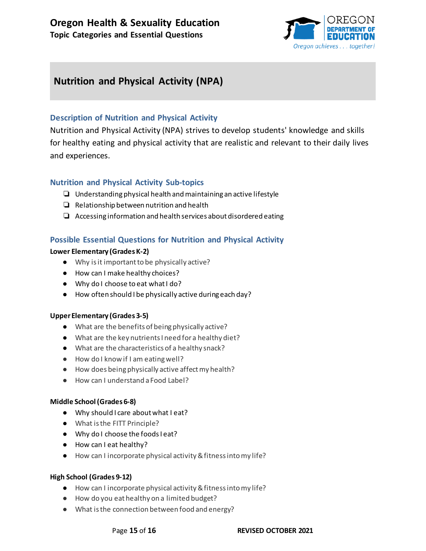

# <span id="page-14-0"></span>**Nutrition and Physical Activity (NPA)**

# **Description of Nutrition and Physical Activity**

Nutrition and Physical Activity (NPA) strives to develop students' knowledge and skills for healthy eating and physical activity that are realistic and relevant to their daily lives and experiences.

# **Nutrition and Physical Activity Sub-topics**

- ❏ Understanding physical health and maintaining an active lifestyle
- ❏ Relationship between nutrition and health
- ❏ Accessing information and health services about disordered eating

# **Possible Essential Questions for Nutrition and Physical Activity**

#### **Lower Elementary (Grades K-2)**

- Why is it important to be physically active?
- How can I make healthy choices?
- Why do I choose to eat what I do?
- How often should I be physically active during each day?

#### **Upper Elementary (Grades 3-5)**

- What are the benefits of being physically active?
- What are the key nutrients I need for a healthy diet?
- What are the characteristics of a healthy snack?
- How do I know if I am eating well?
- How does being physically active affect my health?
- How can I understand a Food Label?

#### **Middle School (Grades 6-8)**

- Why should I care about what I eat?
- What is the FITT Principle?
- Why do I choose the foods I eat?
- How can I eat healthy?
- How can I incorporate physical activity & fitness into my life?

# **High School (Grades 9-12)**

- How can I incorporate physical activity & fitness into my life?
- How do you eat healthy on a limited budget?
- What is the connection between food and energy?